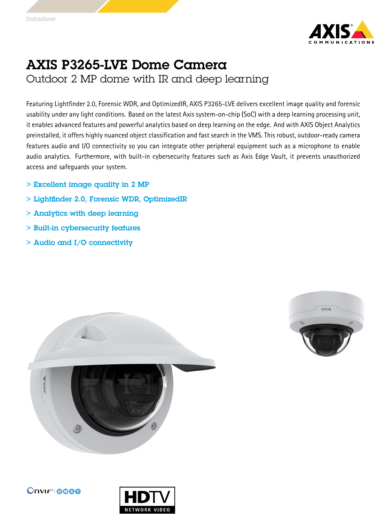

## AXIS P3265-LVE Dome Camera

Outdoor 2 MP dome with IR and deep learning

Featuring Lightfinder 2.0, Forensic WDR, and OptimizedIR, AXIS P3265-LVE delivers excellent image quality and forensic usability under any light conditions. Based on the latest Axis system-on-chip (SoC) with <sup>a</sup> deep learning processing unit, it enables advanced features and powerful analytics based on deep learning on the edge. And with AXIS Object Analytics preinstalled, it offers highly nuanced object classification and fast search in the VMS. This robust, outdoor-ready camera features audio and I/O connectivity so you can integrate other peripheral equipment such as <sup>a</sup> microphone to enable audio analytics. Furthermore, with built-in cybersecurity features such as Axis Edge Vault, it prevents unauthorized access and safeguards your system.

- > Excellent image quality in 2 MP
- > Lightfinder 2.0, Forensic WDR, OptimizedIR
- > Analytics with deep learning
- > Built-in cybersecurity features
- > Audio and I/O connectivity







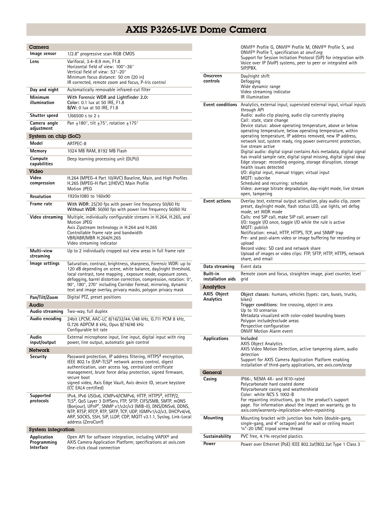## AXIS P3265-LVE Dome Camera

| Camera                                  |                                                                                                                                                                                                                                                                                                                                                                                                           |  |
|-----------------------------------------|-----------------------------------------------------------------------------------------------------------------------------------------------------------------------------------------------------------------------------------------------------------------------------------------------------------------------------------------------------------------------------------------------------------|--|
| Image sensor                            | 1/2.8" progressive scan RGB CMOS                                                                                                                                                                                                                                                                                                                                                                          |  |
| Lens                                    | Varifocal, 3.4-8.9 mm, F1.8<br>Horizontal field of view: 100°-36°<br>Vertical field of view: 53°-20°<br>Minimum focus distance: 50 cm (20 in)<br>IR corrected, remote zoom and focus, P-Iris control                                                                                                                                                                                                      |  |
| Day and night                           | Automatically removable infrared-cut filter                                                                                                                                                                                                                                                                                                                                                               |  |
| Minimum<br>illumination                 | With Forensic WDR and Lightfinder 2.0:<br>Color: 0.1 lux at 50 IRE, F1.8<br><b>B/W:</b> 0 lux at 50 IRE, F1.8                                                                                                                                                                                                                                                                                             |  |
| Shutter speed                           | 1/66500 s to 2 s                                                                                                                                                                                                                                                                                                                                                                                          |  |
| Camera angle<br>adjustment              | Pan $\pm$ 180°, tilt $\pm$ 75°, rotation $\pm$ 175°                                                                                                                                                                                                                                                                                                                                                       |  |
| System on chip (SoC)                    |                                                                                                                                                                                                                                                                                                                                                                                                           |  |
| Model                                   | ARTPEC-8                                                                                                                                                                                                                                                                                                                                                                                                  |  |
| Memory                                  | 1024 MB RAM, 8192 MB Flash                                                                                                                                                                                                                                                                                                                                                                                |  |
| Compute<br>capabilities                 | Deep learning processing unit (DLPU)                                                                                                                                                                                                                                                                                                                                                                      |  |
| Video                                   |                                                                                                                                                                                                                                                                                                                                                                                                           |  |
| Video<br>compression                    | H.264 (MPEG-4 Part 10/AVC) Baseline, Main, and High Profiles<br>H.265 (MPEG-H Part 2/HEVC) Main Profile<br><b>Motion JPEG</b>                                                                                                                                                                                                                                                                             |  |
| Resolution                              | 1920x1080 to 160x90                                                                                                                                                                                                                                                                                                                                                                                       |  |
| Frame rate                              | With WDR: 25/30 fps with power line frequency 50/60 Hz<br>Without WDR: 50/60 fps with power line frequency 50/60 Hz                                                                                                                                                                                                                                                                                       |  |
| Video streaming                         | Multiple, individually configurable streams in H.264, H.265, and<br>Motion JPEG<br>Axis Zipstream technology in H.264 and H.265<br>Controllable frame rate and bandwidth<br>VBR/ABR/MBR H.264/H.265<br>Video streaming indicator                                                                                                                                                                          |  |
| Multi-view<br>streaming                 | Up to 2 individually cropped out view areas in full frame rate                                                                                                                                                                                                                                                                                                                                            |  |
| Image settings                          | Saturation, contrast, brightness, sharpness, Forensic WDR: up to<br>120 dB depending on scene, white balance, day/night threshold,<br>local contrast, tone mapping, exposure mode, exposure zones,<br>defogging, barrel distortion correction, compression, rotation: 0°,<br>90°, 180°, 270° including Corridor Format, mirroring, dynamic<br>text and image overlay, privacy masks, polygon privacy mask |  |
| Pan/Tilt/Zoom                           | Digital PTZ, preset positions                                                                                                                                                                                                                                                                                                                                                                             |  |
| Audio                                   |                                                                                                                                                                                                                                                                                                                                                                                                           |  |
| Audio streaming                         | Two-way, full duplex                                                                                                                                                                                                                                                                                                                                                                                      |  |
| Audio encoding                          | 24bit LPCM, AAC-LC 8/16/32/44.1/48 kHz, G.711 PCM 8 kHz,<br>G.726 ADPCM 8 kHz, Opus 8/16/48 kHz<br>Configurable bit rate                                                                                                                                                                                                                                                                                  |  |
| Audio<br>input/output                   | External microphone input, line input, digital input with ring<br>power, line output, automatic gain control                                                                                                                                                                                                                                                                                              |  |
| <b>Network</b>                          |                                                                                                                                                                                                                                                                                                                                                                                                           |  |
| Security                                | Password protection, IP address filtering, HTTPS <sup>a</sup> encryption,<br>IEEE 802.1x (EAP-TLS) <sup>a</sup> network access control, digest<br>authentication, user access log, centralized certificate<br>management, brute force delay protection, signed firmware,<br>secure boot<br>signed video, Axis Edge Vault, Axis device ID, secure keystore<br>(CC EAL4 certified)                          |  |
| Supported<br>protocols                  | IPv4, IPv6 USGv6, ICMPv4/ICMPv6, HTTP, HTTPS <sup>a</sup> , HTTP/2,<br>TLS <sup>a</sup> , QoS Layer 3 DiffServ, FTP, SFTP, CIFS/SMB, SMTP, mDNS<br>(Bonjour), UPnP®, SNMP v1/v2c/v3 (MIB-II), DNS/DNSv6, DDNS,<br>NTP, RTSP, RTCP, RTP, SRTP, TCP, UDP, IGMPv1/v2/v3, DHCPv4/v6,<br>ARP, SOCKS, SSH, SIP, LLDP, CDP, MQTT v3.1.1, Syslog, Link-Local<br>address (ZeroConf)                                |  |
| System integration                      |                                                                                                                                                                                                                                                                                                                                                                                                           |  |
| Application<br>Programming<br>Interface | Open API for software integration, including VAPIX <sup>®</sup> and<br>AXIS Camera Application Platform; specifications at axis.com<br>One-click cloud connection                                                                                                                                                                                                                                         |  |

|                                 | ONVIF® Profile G, ONVIF® Profile M, ONVIF® Profile S, and<br>ONVIF <sup>®</sup> Profile T, specification at onvif.org<br>Support for Session Initiation Protocol (SIP) for integration with<br>Voice over IP (VoIP) systems, peer to peer or integrated with<br>SIP/PBX.                                                                                                                                                                                                                                                                                                                                                                                                                                                                                                                                                                                                                                                                                                                                                                                                |
|---------------------------------|-------------------------------------------------------------------------------------------------------------------------------------------------------------------------------------------------------------------------------------------------------------------------------------------------------------------------------------------------------------------------------------------------------------------------------------------------------------------------------------------------------------------------------------------------------------------------------------------------------------------------------------------------------------------------------------------------------------------------------------------------------------------------------------------------------------------------------------------------------------------------------------------------------------------------------------------------------------------------------------------------------------------------------------------------------------------------|
| Onscreen<br>controls            | Day/night shift<br>Defogging<br>Wide dynamic range<br>Video streaming indicator<br>IR illumination                                                                                                                                                                                                                                                                                                                                                                                                                                                                                                                                                                                                                                                                                                                                                                                                                                                                                                                                                                      |
| <b>Event actions</b>            | <b>Event conditions</b> Analytics, external input, supervised external input, virtual inputs<br>through API<br>Audio: audio clip playing, audio clip currently playing<br>Call: state, state change<br>Device status: above operating temperature, above or below<br>operating temperature, below operating temperature, within<br>operating temperature, IP address removed, new IP address,<br>network lost, system ready, ring power overcurrent protection,<br>live stream active<br>Digital audio: digital signal contains Axis metadata, digital signal<br>has invalid sample rate, digital signal missing, digital signal okay<br>Edge storage: recording ongoing, storage disruption, storage<br>health issues detected<br>I/O: digital input, manual trigger, virtual input<br>MQTT: subcribe<br>Scheduled and recurring: schedule<br>Video: average bitrate degradation, day-night mode, live stream<br>open, tampering<br>Overlay text, external output activation, play audio clip, zoom<br>preset, day/night mode, flash status LED, use lights, set defog |
|                                 | mode, set WDR mode<br>Calls: end SIP call, make SIP call, answer call<br>$1/0$ : toggle $1/0$ once, toggle $1/0$ while the rule is active<br>MQTT: publish<br>Notification: email, HTTP, HTTPS, TCP, and SNMP trap<br>Pre- and post-alarm video or image buffering for recording or<br>upload<br>Record video: SD card and network share<br>Upload of images or video clips: FTP, SFTP, HTTP, HTTPS, network<br>share, and email                                                                                                                                                                                                                                                                                                                                                                                                                                                                                                                                                                                                                                        |
| Data streaming                  | Event data                                                                                                                                                                                                                                                                                                                                                                                                                                                                                                                                                                                                                                                                                                                                                                                                                                                                                                                                                                                                                                                              |
| Built-in<br>installation aids   | Remote zoom and focus, straighten image, pixel counter, level<br>grid                                                                                                                                                                                                                                                                                                                                                                                                                                                                                                                                                                                                                                                                                                                                                                                                                                                                                                                                                                                                   |
| Analytics<br><b>AXIS Object</b> | Object classes: humans, vehicles (types: cars, buses, trucks,                                                                                                                                                                                                                                                                                                                                                                                                                                                                                                                                                                                                                                                                                                                                                                                                                                                                                                                                                                                                           |
| Analytics                       | bikes)<br>Trigger conditions: line crossing, object in area<br>Up to 10 scenarios<br>Metadata visualized with color-coded bounding boxes<br>Polygon include/exclude areas<br>Perspective configuration<br><b>ONVIF Motion Alarm event</b>                                                                                                                                                                                                                                                                                                                                                                                                                                                                                                                                                                                                                                                                                                                                                                                                                               |
| Applications                    | Included<br>AXIS Object Analytics<br>AXIS Video Motion Detection, active tampering alarm, audio<br>detection<br>Support for AXIS Camera Application Platform enabling<br>installation of third-party applications, see <i>axis.com/acap</i>                                                                                                                                                                                                                                                                                                                                                                                                                                                                                                                                                                                                                                                                                                                                                                                                                             |
| General                         |                                                                                                                                                                                                                                                                                                                                                                                                                                                                                                                                                                                                                                                                                                                                                                                                                                                                                                                                                                                                                                                                         |
| Casing                          | IP66-, NEMA 4X- and IK10-rated<br>Polycarbonate hard coated dome<br>Polycarbonate casing and weathershield<br>Color: white NCS S 1002-B<br>For repainting instructions, go to the product's support<br>page. For information about the impact on warranty, go to<br>axis.com/warranty-implication-when-repainting.                                                                                                                                                                                                                                                                                                                                                                                                                                                                                                                                                                                                                                                                                                                                                      |
| Mounting                        | Mounting bracket with junction box holes (double-gang,<br>single-gang, and 4" octagon) and for wall or ceiling mount<br>1/4"-20 UNC tripod screw thread                                                                                                                                                                                                                                                                                                                                                                                                                                                                                                                                                                                                                                                                                                                                                                                                                                                                                                                 |
| Sustainability                  | PVC free, 4.1% recycled plastics                                                                                                                                                                                                                                                                                                                                                                                                                                                                                                                                                                                                                                                                                                                                                                                                                                                                                                                                                                                                                                        |